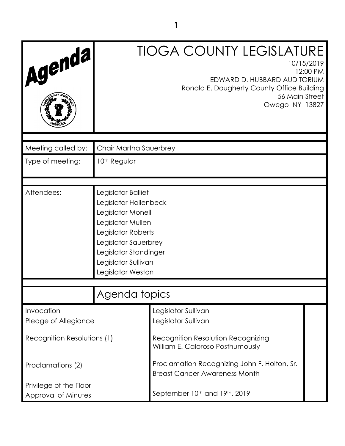|                                    |                                                                                                                                                                                                          | <b>TIOGA COUNTY LEGISLATURE</b>                                                                                              |          |
|------------------------------------|----------------------------------------------------------------------------------------------------------------------------------------------------------------------------------------------------------|------------------------------------------------------------------------------------------------------------------------------|----------|
| Agenda,                            |                                                                                                                                                                                                          | 10/15/2019<br>EDWARD D. HUBBARD AUDITORIUM<br>Ronald E. Dougherty County Office Building<br>56 Main Street<br>Owego NY 13827 | 12:00 PM |
| Meeting called by:                 | Chair Martha Sauerbrey                                                                                                                                                                                   |                                                                                                                              |          |
| Type of meeting:                   | 10 <sup>th</sup> Regular                                                                                                                                                                                 |                                                                                                                              |          |
|                                    |                                                                                                                                                                                                          |                                                                                                                              |          |
| Attendees:                         | Legislator Balliet<br>Legislator Hollenbeck<br>Legislator Monell<br>Legislator Mullen<br>Legislator Roberts<br>Legislator Sauerbrey<br>Legislator Standinger<br>Legislator Sullivan<br>Legislator Weston |                                                                                                                              |          |
|                                    |                                                                                                                                                                                                          |                                                                                                                              |          |
|                                    | Agenda topics                                                                                                                                                                                            |                                                                                                                              |          |
| Invocation<br>Pledge of Allegiance |                                                                                                                                                                                                          | Legislator Sullivan<br>Legislator Sullivan                                                                                   |          |
| Recognition Resolutions (1)        |                                                                                                                                                                                                          | Recognition Resolution Recognizing<br>William E. Caloroso Posthumously                                                       |          |
| Proclamations (2)                  |                                                                                                                                                                                                          | Proclamation Recognizing John F. Holton, Sr.<br><b>Breast Cancer Awareness Month</b>                                         |          |
| Privilege of the Floor             |                                                                                                                                                                                                          |                                                                                                                              |          |
| Approval of Minutes                |                                                                                                                                                                                                          | September 10th and 19th, 2019                                                                                                |          |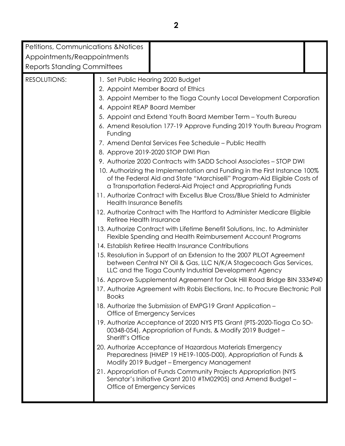| Petitions, Communications & Notices                      |                                  |                                                                                                                                                                                                                       |  |  |  |
|----------------------------------------------------------|----------------------------------|-----------------------------------------------------------------------------------------------------------------------------------------------------------------------------------------------------------------------|--|--|--|
| Appointments/Reappointments                              |                                  |                                                                                                                                                                                                                       |  |  |  |
| <b>Reports Standing Committees</b>                       |                                  |                                                                                                                                                                                                                       |  |  |  |
| <b>RESOLUTIONS:</b><br>1. Set Public Hearing 2020 Budget |                                  |                                                                                                                                                                                                                       |  |  |  |
|                                                          |                                  | 2. Appoint Member Board of Ethics                                                                                                                                                                                     |  |  |  |
|                                                          |                                  | 3. Appoint Member to the Tioga County Local Development Corporation                                                                                                                                                   |  |  |  |
|                                                          | 4. Appoint REAP Board Member     |                                                                                                                                                                                                                       |  |  |  |
|                                                          |                                  | 5. Appoint and Extend Youth Board Member Term - Youth Bureau                                                                                                                                                          |  |  |  |
|                                                          | Funding                          | 6. Amend Resolution 177-19 Approve Funding 2019 Youth Bureau Program                                                                                                                                                  |  |  |  |
|                                                          |                                  | 7. Amend Dental Services Fee Schedule – Public Health                                                                                                                                                                 |  |  |  |
|                                                          |                                  | 8. Approve 2019-2020 STOP DWI Plan                                                                                                                                                                                    |  |  |  |
|                                                          |                                  | 9. Authorize 2020 Contracts with SADD School Associates - STOP DWI                                                                                                                                                    |  |  |  |
|                                                          |                                  | 10. Authorizing the Implementation and Funding in the First Instance 100%<br>of the Federal Aid and State "Marchiselli" Program-Aid Eligible Costs of<br>a Transportation Federal-Aid Project and Appropriating Funds |  |  |  |
|                                                          | <b>Health Insurance Benefits</b> | 11. Authorize Contract with Excellus Blue Cross/Blue Shield to Administer                                                                                                                                             |  |  |  |
|                                                          | Retiree Health Insurance         | 12. Authorize Contract with The Hartford to Administer Medicare Eligible                                                                                                                                              |  |  |  |
|                                                          |                                  | 13. Authorize Contract with Lifetime Benefit Solutions, Inc. to Administer<br>Flexible Spending and Health Reimbursement Account Programs                                                                             |  |  |  |
|                                                          |                                  | 14. Establish Retiree Health Insurance Contributions                                                                                                                                                                  |  |  |  |
|                                                          |                                  | 15. Resolution in Support of an Extension to the 2007 PILOT Agreement<br>between Central NY Oil & Gas, LLC N/K/A Stagecoach Gas Services,<br>LLC and the Tioga County Industrial Development Agency                   |  |  |  |
|                                                          |                                  | 16. Approve Supplemental Agreement for Oak Hill Road Bridge BIN 3334940                                                                                                                                               |  |  |  |
|                                                          | <b>Books</b>                     | 17. Authorize Agreement with Robis Elections, Inc. to Procure Electronic Poll                                                                                                                                         |  |  |  |
|                                                          |                                  | 18. Authorize the Submission of EMPG19 Grant Application -<br>Office of Emergency Services                                                                                                                            |  |  |  |
|                                                          | <b>Sheriff's Office</b>          | 19. Authorize Acceptance of 2020 NYS PTS Grant (PTS-2020-Tioga Co SO-<br>00348-054), Appropriation of Funds, & Modify 2019 Budget -                                                                                   |  |  |  |
|                                                          |                                  | 20. Authorize Acceptance of Hazardous Materials Emergency<br>Preparedness (HMEP 19 HE19-1005-D00), Appropriation of Funds &<br>Modify 2019 Budget - Emergency Management                                              |  |  |  |
|                                                          |                                  | 21. Appropriation of Funds Community Projects Appropriation (NYS<br>Senator's Initiative Grant 2010 #TM02905) and Amend Budget -<br>Office of Emergency Services                                                      |  |  |  |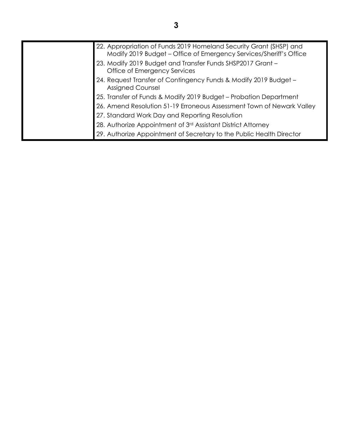| 22. Appropriation of Funds 2019 Homeland Security Grant (SHSP) and<br>Modify 2019 Budget – Office of Emergency Services/Sheriff's Office |
|------------------------------------------------------------------------------------------------------------------------------------------|
| 23. Modify 2019 Budget and Transfer Funds SHSP2017 Grant -<br>Office of Emergency Services                                               |
| 24. Request Transfer of Contingency Funds & Modify 2019 Budget -<br><b>Assigned Counsel</b>                                              |
| 25. Transfer of Funds & Modify 2019 Budget - Probation Department                                                                        |
| 26. Amend Resolution 51-19 Erroneous Assessment Town of Newark Valley                                                                    |
| 27. Standard Work Day and Reporting Resolution                                                                                           |
| 28. Authorize Appointment of 3rd Assistant District Attorney                                                                             |
| 29. Authorize Appointment of Secretary to the Public Health Director                                                                     |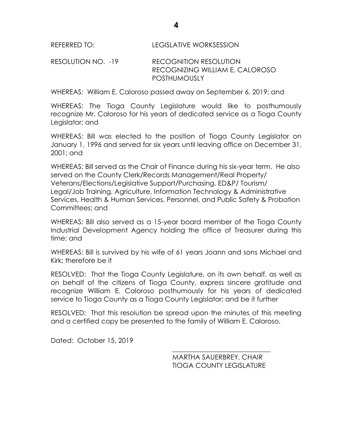RESOLUTION NO. -19 RECOGNITION RESOLUTION RECOGNIZING WILLIAM E. CALOROSO POSTHUMOUSLY

WHEREAS: William E. Caloroso passed away on September 6, 2019; and

WHEREAS: The Tioga County Legislature would like to posthumously recognize Mr. Caloroso for his years of dedicated service as a Tioga County Legislator; and

WHEREAS: Bill was elected to the position of Tioga County Legislator on January 1, 1996 and served for six years until leaving office on December 31, 2001; and

WHEREAS: Bill served as the Chair of Finance during his six-year term. He also served on the County Clerk/Records Management/Real Property/ Veterans/Elections/Legislative Support/Purchasing, ED&P/ Tourism/ Legal/Job Training, Agriculture, Information Technology & Administrative Services, Health & Human Services, Personnel, and Public Safety & Probation Committees; and

WHEREAS: Bill also served as a 15-year board member of the Tioga County Industrial Development Agency holding the office of Treasurer during this time; and

WHEREAS: Bill is survived by his wife of 61 years Joann and sons Michael and Kirk; therefore be it

RESOLVED: That the Tioga County Legislature, on its own behalf, as well as on behalf of the citizens of Tioga County, express sincere gratitude and recognize William E. Caloroso posthumously for his years of dedicated service to Tioga County as a Tioga County Legislator; and be it further

RESOLVED: That this resolution be spread upon the minutes of this meeting and a certified copy be presented to the family of William E. Caloroso.

Dated: October 15, 2019

\_\_\_\_\_\_\_\_\_\_\_\_\_\_\_\_\_\_\_\_\_\_\_\_\_\_\_\_\_ MARTHA SAUERBREY, CHAIR TIOGA COUNTY LEGISLATURE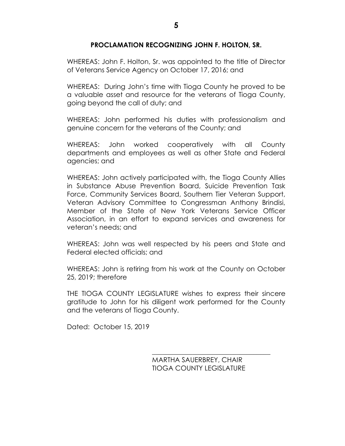#### **PROCLAMATION RECOGNIZING JOHN F. HOLTON, SR.**

WHEREAS: John F. Holton, Sr. was appointed to the title of Director of Veterans Service Agency on October 17, 2016; and

WHEREAS: During John's time with Tioga County he proved to be a valuable asset and resource for the veterans of Tioga County, going beyond the call of duty; and

WHEREAS: John performed his duties with professionalism and genuine concern for the veterans of the County; and

WHEREAS: John worked cooperatively with all County departments and employees as well as other State and Federal agencies; and

WHEREAS: John actively participated with, the Tioga County Allies in Substance Abuse Prevention Board, Suicide Prevention Task Force, Community Services Board, Southern Tier Veteran Support, Veteran Advisory Committee to Congressman Anthony Brindisi, Member of the State of New York Veterans Service Officer Association, in an effort to expand services and awareness for veteran's needs; and

WHEREAS: John was well respected by his peers and State and Federal elected officials; and

WHEREAS: John is retiring from his work at the County on October 25, 2019; therefore

THE TIOGA COUNTY LEGISLATURE wishes to express their sincere gratitude to John for his diligent work performed for the County and the veterans of Tioga County.

Dated: October 15, 2019

MARTHA SAUERBREY, CHAIR TIOGA COUNTY LEGISLATURE

\_\_\_\_\_\_\_\_\_\_\_\_\_\_\_\_\_\_\_\_\_\_\_\_\_\_\_\_\_\_\_\_\_\_\_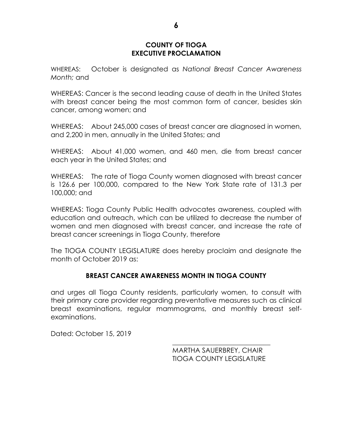#### **COUNTY OF TIOGA EXECUTIVE PROCLAMATION**

WHEREAS: October is designated as *National Breast Cancer Awareness Month;* and

WHEREAS: Cancer is the second leading cause of death in the United States with breast cancer being the most common form of cancer, besides skin cancer, among women; and

WHEREAS: About 245,000 cases of breast cancer are diagnosed in women, and 2,200 in men, annually in the United States; and

WHEREAS: About 41,000 women, and 460 men, die from breast cancer each year in the United States; and

WHEREAS: The rate of Tioga County women diagnosed with breast cancer is 126.6 per 100,000, compared to the New York State rate of 131.3 per 100,000; and

WHEREAS: Tioga County Public Health advocates awareness, coupled with education and outreach, which can be utilized to decrease the number of women and men diagnosed with breast cancer, and increase the rate of breast cancer screenings in Tioga County, therefore

The TIOGA COUNTY LEGISLATURE does hereby proclaim and designate the month of October 2019 as:

### **BREAST CANCER AWARENESS MONTH IN TIOGA COUNTY**

and urges all Tioga County residents, particularly women, to consult with their primary care provider regarding preventative measures such as clinical breast examinations, regular mammograms, and monthly breast selfexaminations.

Dated: October 15, 2019

MARTHA SAUERBREY, CHAIR TIOGA COUNTY LEGISLATURE

\_\_\_\_\_\_\_\_\_\_\_\_\_\_\_\_\_\_\_\_\_\_\_\_\_\_\_\_\_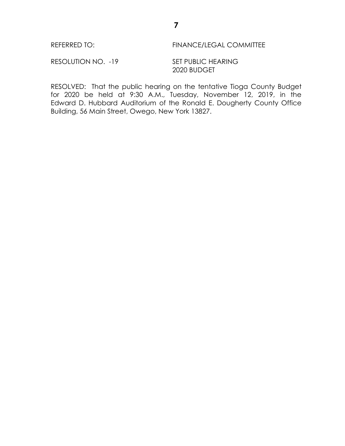#### REFERRED TO: FINANCE/LEGAL COMMITTEE

RESOLUTION NO. -19 SET PUBLIC HEARING

2020 BUDGET

RESOLVED: That the public hearing on the tentative Tioga County Budget for 2020 be held at 9:30 A.M., Tuesday, November 12, 2019, in the Edward D. Hubbard Auditorium of the Ronald E. Dougherty County Office Building, 56 Main Street, Owego, New York 13827.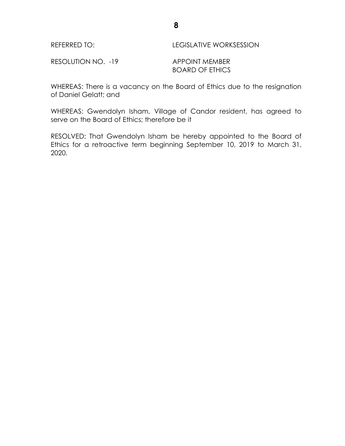| <b>LEGISLATIVE WORKSESSION</b> |
|--------------------------------|
|                                |

RESOLUTION NO. -19 APPOINT MEMBER

BOARD OF ETHICS

WHEREAS: There is a vacancy on the Board of Ethics due to the resignation of Daniel Gelatt; and

WHEREAS: Gwendolyn Isham, Village of Candor resident, has agreed to serve on the Board of Ethics; therefore be it

RESOLVED: That Gwendolyn Isham be hereby appointed to the Board of Ethics for a retroactive term beginning September 10, 2019 to March 31, 2020.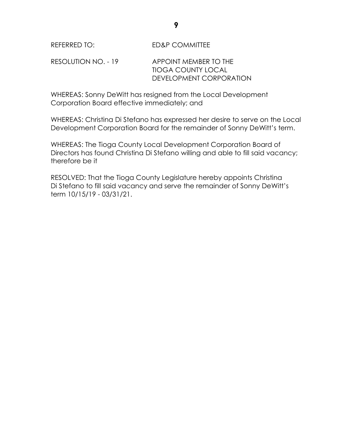REFERRED TO: ED&P COMMITTEE

RESOLUTION NO. - 19 APPOINT MEMBER TO THE TIOGA COUNTY LOCAL DEVELOPMENT CORPORATION

WHEREAS: Sonny DeWitt has resigned from the Local Development Corporation Board effective immediately; and

WHEREAS: Christina Di Stefano has expressed her desire to serve on the Local Development Corporation Board for the remainder of Sonny DeWitt's term.

WHEREAS: The Tioga County Local Development Corporation Board of Directors has found Christina Di Stefano willing and able to fill said vacancy; therefore be it

RESOLVED: That the Tioga County Legislature hereby appoints Christina Di Stefano to fill said vacancy and serve the remainder of Sonny DeWitt's term 10/15/19 - 03/31/21.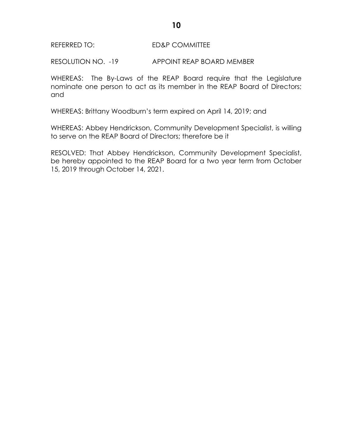#### REFERRED TO: ED&P COMMITTEE

RESOLUTION NO. -19 APPOINT REAP BOARD MEMBER

WHEREAS: The By-Laws of the REAP Board require that the Legislature nominate one person to act as its member in the REAP Board of Directors; and

WHEREAS: Brittany Woodburn's term expired on April 14, 2019; and

WHEREAS: Abbey Hendrickson, Community Development Specialist, is willing to serve on the REAP Board of Directors; therefore be it

RESOLVED: That Abbey Hendrickson, Community Development Specialist, be hereby appointed to the REAP Board for a two year term from October 15, 2019 through October 14, 2021.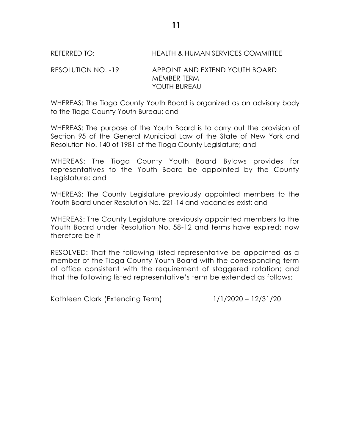REFERRED TO: HEALTH & HUMAN SERVICES COMMITTEE

### RESOLUTION NO. -19 APPOINT AND EXTEND YOUTH BOARD MEMBER TERM YOUTH BUREAU

WHEREAS: The Tioga County Youth Board is organized as an advisory body to the Tioga County Youth Bureau; and

WHEREAS: The purpose of the Youth Board is to carry out the provision of Section 95 of the General Municipal Law of the State of New York and Resolution No. 140 of 1981 of the Tioga County Legislature; and

WHEREAS: The Tioga County Youth Board Bylaws provides for representatives to the Youth Board be appointed by the County Legislature; and

WHEREAS: The County Legislature previously appointed members to the Youth Board under Resolution No. 221-14 and vacancies exist; and

WHEREAS: The County Legislature previously appointed members to the Youth Board under Resolution No. 58-12 and terms have expired; now therefore be it

RESOLVED: That the following listed representative be appointed as a member of the Tioga County Youth Board with the corresponding term of office consistent with the requirement of staggered rotation; and that the following listed representative's term be extended as follows:

Kathleen Clark (Extending Term) 1/1/2020 – 12/31/20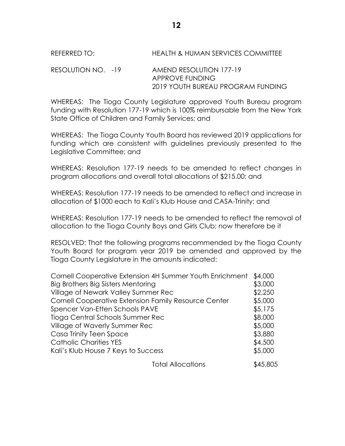REFERRED TO: HEALTH & HUMAN SERVICES COMMITTEE

RESOLUTION NO. -19 AMEND RESOLUTION 177-19 APPROVE FUNDING 2019 YOUTH BUREAU PROGRAM FUNDING

WHEREAS: The Tioga County Legislature approved Youth Bureau program funding with Resolution 177-19 which is 100% reimbursable from the New York State Office of Children and Family Services; and

WHEREAS: The Tioga County Youth Board has reviewed 2019 applications for funding which are consistent with guidelines previously presented to the Legislative Committee; and

WHEREAS: Resolution 177-19 needs to be amended to reflect changes in program allocations and overall total allocations of \$215.00; and

WHEREAS: Resolution 177-19 needs to be amended to reflect and increase in allocation of \$1000 each to Kali's Klub House and CASA-Trinity; and

WHEREAS: Resolution 177-19 needs to be amended to reflect the removal of allocation to the Tioga County Boys and Girls Club; now therefore be it

RESOLVED: That the following programs recommended by the Tioga County Youth Board for program year 2019 be amended and approved by the Tioga County Legislature in the amounts indicated:

| Cornell Cooperative Extension 4H Summer Youth Enrichment | \$4,000 |
|----------------------------------------------------------|---------|
| Big Brothers Big Sisters Mentoring                       | \$3,000 |
| Village of Newark Valley Summer Rec                      | \$2,250 |
| Cornell Cooperative Extension Family Resource Center     | \$5,000 |
| Spencer Van-Etten Schools PAVE                           | \$5,175 |
| Tioga Central Schools Summer Rec                         | \$8,000 |
| Village of Waverly Summer Rec                            | \$5,000 |
| Casa Trinity Teen Space                                  | \$3,880 |
| <b>Catholic Charities YES</b>                            | \$4,500 |
| Kali's Klub House 7 Keys to Success                      | \$5,000 |
| المصادر والمستقبل المساحية                               | ATOCF   |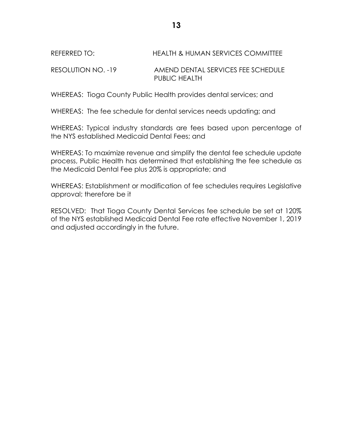## REFERRED TO: HEALTH & HUMAN SERVICES COMMITTEE

RESOLUTION NO. -19 AMEND DENTAL SERVICES FEE SCHEDULE PUBLIC HEALTH

WHEREAS: Tioga County Public Health provides dental services; and

WHEREAS: The fee schedule for dental services needs updating; and

WHEREAS: Typical industry standards are fees based upon percentage of the NYS established Medicaid Dental Fees; and

WHEREAS: To maximize revenue and simplify the dental fee schedule update process, Public Health has determined that establishing the fee schedule as the Medicaid Dental Fee plus 20% is appropriate; and

WHEREAS: Establishment or modification of fee schedules requires Legislative approval; therefore be it

RESOLVED: That Tioga County Dental Services fee schedule be set at 120% of the NYS established Medicaid Dental Fee rate effective November 1, 2019 and adjusted accordingly in the future.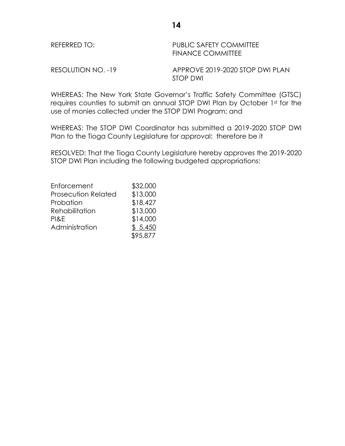| REFERRED TO:       | PUBLIC SAFETY COMMITTEE<br><b>FINANCE COMMITTEE</b> |
|--------------------|-----------------------------------------------------|
| RESOLUTION NO. -19 | APPROVE 2019-2020 STOP DWI PLAN                     |

WHEREAS: The New York State Governor's Traffic Safety Committee (GTSC) requires counties to submit an annual STOP DWI Plan by October 1st for the use of monies collected under the STOP DWI Program; and

STOP DWI

WHEREAS: The STOP DWI Coordinator has submitted a 2019-2020 STOP DWI Plan to the Tioga County Legislature for approval; therefore be it

RESOLVED: That the Tioga County Legislature hereby approves the 2019-2020 STOP DWI Plan including the following budgeted appropriations:

| Enforcement                | \$32,000 |
|----------------------------|----------|
| <b>Prosecution Related</b> | \$13,000 |
| Probation                  | \$18,427 |
| Rehabilitation             | \$13,000 |
| PI&E                       | \$14,000 |
| Administration             | \$5,450  |
|                            | \$95,877 |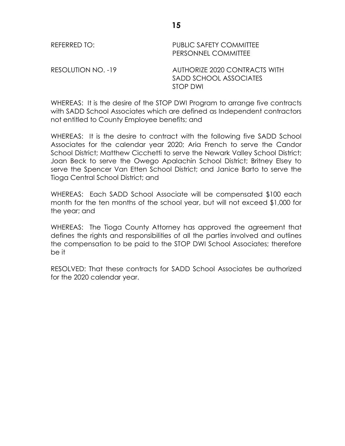| REFERRED TO:       | <b>PUBLIC SAFETY COMMITTEE</b><br>PERSONNEL COMMITTEE               |
|--------------------|---------------------------------------------------------------------|
| RESOLUTION NO. -19 | AUTHORIZE 2020 CONTRACTS WITH<br>SADD SCHOOL ASSOCIATES<br>STOP DWI |

WHEREAS: It is the desire of the STOP DWI Program to arrange five contracts with SADD School Associates which are defined as Independent contractors not entitled to County Employee benefits; and

**15**

WHEREAS: It is the desire to contract with the following five SADD School Associates for the calendar year 2020; Aria French to serve the Candor School District; Matthew Cicchetti to serve the Newark Valley School District; Joan Beck to serve the Owego Apalachin School District; Britney Elsey to serve the Spencer Van Etten School District; and Janice Barto to serve the Tioga Central School District; and

WHEREAS: Each SADD School Associate will be compensated \$100 each month for the ten months of the school year, but will not exceed \$1,000 for the year; and

WHEREAS: The Tioga County Attorney has approved the agreement that defines the rights and responsibilities of all the parties involved and outlines the compensation to be paid to the STOP DWI School Associates; therefore be it

RESOLVED: That these contracts for SADD School Associates be authorized for the 2020 calendar year.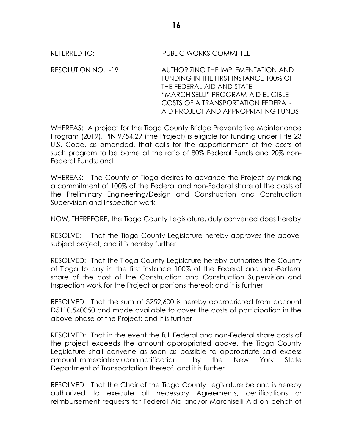# REFERRED TO: PUBLIC WORKS COMMITTEE

RESOLUTION NO. -19 AUTHORIZING THE IMPLEMENTATION AND FUNDING IN THE FIRST INSTANCE 100% OF THE FEDERAL AID AND STATE "MARCHISELLI" PROGRAM-AID ELIGIBLE COSTS OF A TRANSPORTATION FEDERAL-AID PROJECT AND APPROPRIATING FUNDS

WHEREAS: A project for the Tioga County Bridge Preventative Maintenance Program (2019), PIN 9754.29 (the Project) is eligible for funding under Title 23 U.S. Code, as amended, that calls for the apportionment of the costs of such program to be borne at the ratio of 80% Federal Funds and 20% non-Federal Funds; and

WHEREAS: The County of Tioga desires to advance the Project by making a commitment of 100% of the Federal and non-Federal share of the costs of the Preliminary Engineering/Design and Construction and Construction Supervision and Inspection work.

NOW, THEREFORE, the Tioga County Legislature, duly convened does hereby

RESOLVE: That the Tioga County Legislature hereby approves the abovesubject project; and it is hereby further

RESOLVED: That the Tioga County Legislature hereby authorizes the County of Tioga to pay in the first instance 100% of the Federal and non-Federal share of the cost of the Construction and Construction Supervision and Inspection work for the Project or portions thereof; and it is further

RESOLVED: That the sum of \$252,600 is hereby appropriated from account D5110.540050 and made available to cover the costs of participation in the above phase of the Project; and it is further

RESOLVED: That in the event the full Federal and non-Federal share costs of the project exceeds the amount appropriated above, the Tioga County Legislature shall convene as soon as possible to appropriate said excess amount immediately upon notification by the New York State Department of Transportation thereof, and it is further

RESOLVED: That the Chair of the Tioga County Legislature be and is hereby authorized to execute all necessary Agreements, certifications or reimbursement requests for Federal Aid and/or Marchiselli Aid on behalf of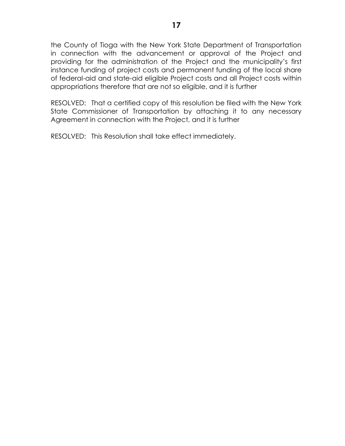the County of Tioga with the New York State Department of Transportation in connection with the advancement or approval of the Project and providing for the administration of the Project and the municipality's first instance funding of project costs and permanent funding of the local share of federal-aid and state-aid eligible Project costs and all Project costs within appropriations therefore that are not so eligible, and it is further

RESOLVED: That a certified copy of this resolution be filed with the New York State Commissioner of Transportation by attaching it to any necessary Agreement in connection with the Project, and it is further

RESOLVED: This Resolution shall take effect immediately.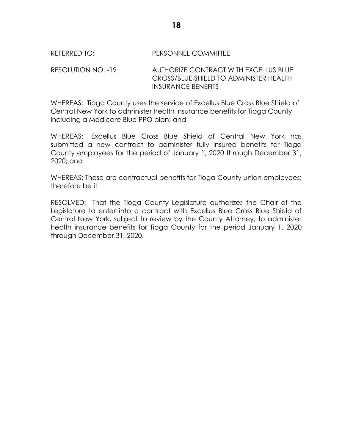#### REFERRED TO: PERSONNEL COMMITTEE

RESOLUTION NO. -19 AUTHORIZE CONTRACT WITH EXCELLUS BLUE CROSS/BLUE SHIELD TO ADMINISTER HEALTH INSURANCE BENEFITS

WHEREAS: Tioga County uses the service of Excellus Blue Cross Blue Shield of Central New York to administer health insurance benefits for Tioga County including a Medicare Blue PPO plan; and

WHEREAS: Excellus Blue Cross Blue Shield of Central New York has submitted a new contract to administer fully insured benefits for Tioga County employees for the period of January 1, 2020 through December 31, 2020; and

WHEREAS: These are contractual benefits for Tioga County union employees; therefore be it

RESOLVED: That the Tioga County Legislature authorizes the Chair of the Legislature to enter into a contract with Excellus Blue Cross Blue Shield of Central New York, subject to review by the County Attorney, to administer health insurance benefits for Tioga County for the period January 1, 2020 through December 31, 2020.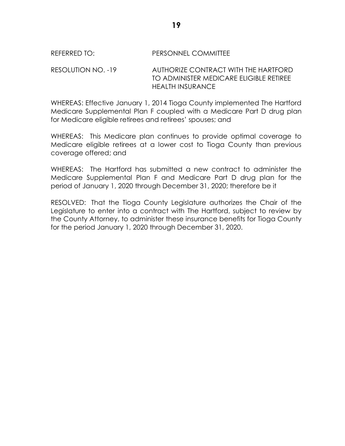#### REFERRED TO: PERSONNEL COMMITTEE

RESOLUTION NO. -19 AUTHORIZE CONTRACT WITH THE HARTFORD TO ADMINISTER MEDICARE ELIGIBLE RETIREE HEALTH INSURANCE

WHEREAS: Effective January 1, 2014 Tioga County implemented The Hartford Medicare Supplemental Plan F coupled with a Medicare Part D drug plan for Medicare eligible retirees and retirees' spouses; and

WHEREAS: This Medicare plan continues to provide optimal coverage to Medicare eligible retirees at a lower cost to Tioga County than previous coverage offered; and

WHEREAS: The Hartford has submitted a new contract to administer the Medicare Supplemental Plan F and Medicare Part D drug plan for the period of January 1, 2020 through December 31, 2020; therefore be it

RESOLVED: That the Tioga County Legislature authorizes the Chair of the Legislature to enter into a contract with The Hartford, subject to review by the County Attorney, to administer these insurance benefits for Tioga County for the period January 1, 2020 through December 31, 2020.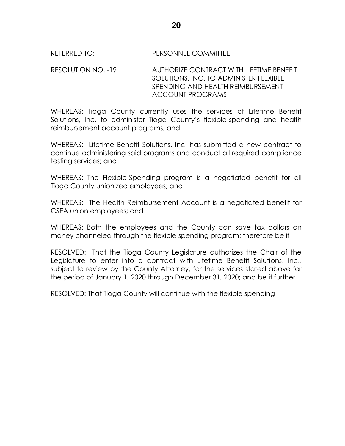#### REFERRED TO: PERSONNEL COMMITTEE

#### RESOLUTION NO. -19 AUTHORIZE CONTRACT WITH LIFETIME BENEFIT SOLUTIONS, INC. TO ADMINISTER FLEXIBLE SPENDING AND HEALTH REIMBURSEMENT ACCOUNT PROGRAMS

WHEREAS: Tioga County currently uses the services of Lifetime Benefit Solutions, Inc. to administer Tioga County's flexible-spending and health reimbursement account programs; and

WHEREAS: Lifetime Benefit Solutions, Inc. has submitted a new contract to continue administering said programs and conduct all required compliance testing services; and

WHEREAS: The Flexible-Spending program is a negotiated benefit for all Tioga County unionized employees; and

WHEREAS: The Health Reimbursement Account is a negotiated benefit for CSEA union employees; and

WHEREAS: Both the employees and the County can save tax dollars on money channeled through the flexible spending program; therefore be it

RESOLVED: That the Tioga County Legislature authorizes the Chair of the Legislature to enter into a contract with Lifetime Benefit Solutions, Inc., subject to review by the County Attorney, for the services stated above for the period of January 1, 2020 through December 31, 2020; and be it further

RESOLVED: That Tioga County will continue with the flexible spending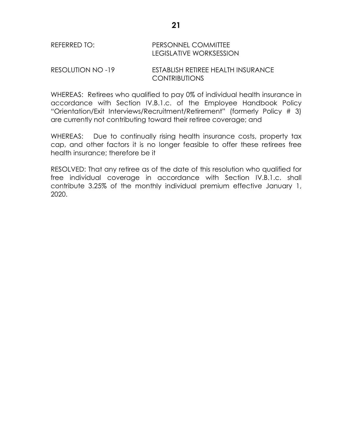# REFERRED TO: PERSONNEL COMMITTEE LEGISLATIVE WORKSESSION

#### RESOLUTION NO -19 ESTABLISH RETIREE HEALTH INSURANCE CONTRIBUTIONS

WHEREAS: Retirees who qualified to pay 0% of individual health insurance in accordance with Section IV.B.1.c. of the Employee Handbook Policy "Orientation/Exit Interviews/Recruitment/Retirement" (formerly Policy # 3) are currently not contributing toward their retiree coverage; and

WHEREAS: Due to continually rising health insurance costs, property tax cap, and other factors it is no longer feasible to offer these retirees free health insurance; therefore be it

RESOLVED: That any retiree as of the date of this resolution who qualified for free individual coverage in accordance with Section IV.B.1.c. shall contribute 3.25% of the monthly individual premium effective January 1, 2020.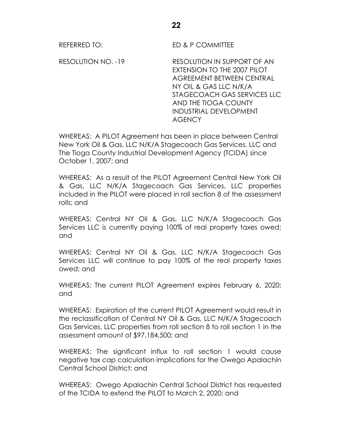REFERRED TO: ED & P COMMITTEE

RESOLUTION NO. -19 RESOLUTION IN SUPPORT OF AN EXTENSION TO THE 2007 PILOT AGREEMENT BETWEEN CENTRAL NY OIL & GAS LLC N/K/A STAGECOACH GAS SERVICES LLC AND THE TIOGA COUNTY INDUSTRIAL DEVELOPMENT AGENCY

WHEREAS: A PILOT Agreement has been in place between Central New York Oil & Gas, LLC N/K/A Stagecoach Gas Services, LLC and The Tioga County Industrial Development Agency (TCIDA) since October 1, 2007; and

WHEREAS: As a result of the PILOT Agreement Central New York Oil & Gas, LLC N/K/A Stagecoach Gas Services, LLC properties included in the PILOT were placed in roll section 8 of the assessment rolls; and

WHEREAS: Central NY Oil & Gas, LLC N/K/A Stagecoach Gas Services LLC is currently paying 100% of real property taxes owed; and

WHEREAS: Central NY Oil & Gas, LLC N/K/A Stagecoach Gas Services LLC will continue to pay 100% of the real property taxes owed; and

WHEREAS: The current PILOT Agreement expires February 6, 2020; and

WHEREAS: Expiration of the current PILOT Agreement would result in the reclassification of Central NY Oil & Gas, LLC N/K/A Stagecoach Gas Services, LLC properties from roll section 8 to roll section 1 in the assessment amount of \$97,184,500; and

WHEREAS: The significant influx to roll section 1 would cause negative tax cap calculation implications for the Owego Apalachin Central School District; and

WHEREAS: Owego Apalachin Central School District has requested of the TCIDA to extend the PILOT to March 2, 2020; and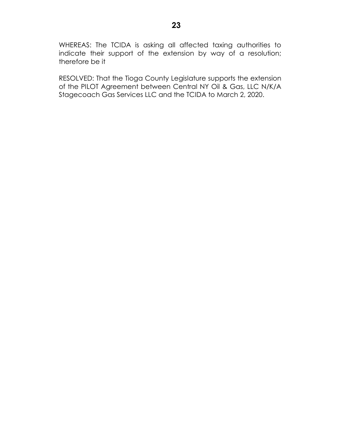WHEREAS: The TCIDA is asking all affected taxing authorities to indicate their support of the extension by way of a resolution; therefore be it

RESOLVED: That the Tioga County Legislature supports the extension of the PILOT Agreement between Central NY Oil & Gas, LLC N/K/A Stagecoach Gas Services LLC and the TCIDA to March 2, 2020.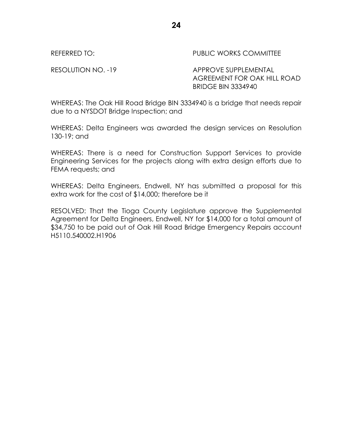REFERRED TO: The Second Second PUBLIC WORKS COMMITTEE

RESOLUTION NO. -19 APPROVE SUPPLEMENTAL AGREEMENT FOR OAK HILL ROAD BRIDGE BIN 3334940

WHEREAS: The Oak Hill Road Bridge BIN 3334940 is a bridge that needs repair due to a NYSDOT Bridge Inspection; and

WHEREAS: Delta Engineers was awarded the design services on Resolution 130-19; and

WHEREAS: There is a need for Construction Support Services to provide Engineering Services for the projects along with extra design efforts due to FEMA requests; and

WHEREAS: Delta Engineers, Endwell, NY has submitted a proposal for this extra work for the cost of \$14,000; therefore be it

RESOLVED: That the Tioga County Legislature approve the Supplemental Agreement for Delta Engineers, Endwell, NY for \$14,000 for a total amount of \$34,750 to be paid out of Oak Hill Road Bridge Emergency Repairs account H5110.540002.H1906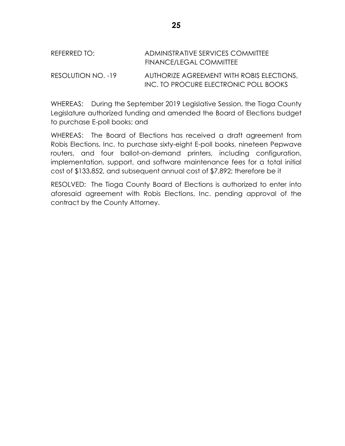| REFERRED TO: I     | ADMINISTRATIVE SERVICES COMMITTEE<br>FINANCE/LEGAL COMMITTEE                       |
|--------------------|------------------------------------------------------------------------------------|
| RESOLUTION NO. -19 | AUTHORIZE AGREEMENT WITH ROBIS ELECTIONS.<br>INC. TO PROCURE ELECTRONIC POLL BOOKS |

WHEREAS: During the September 2019 Legislative Session, the Tioga County Legislature authorized funding and amended the Board of Elections budget to purchase E-poll books; and

WHEREAS: The Board of Elections has received a draft agreement from Robis Elections, Inc. to purchase sixty-eight E-poll books, nineteen Pepwave routers, and four ballot-on-demand printers, including configuration, implementation, support, and software maintenance fees for a total initial cost of \$133,852, and subsequent annual cost of \$7,892; therefore be it

RESOLVED: The Tioga County Board of Elections is authorized to enter into aforesaid agreement with Robis Elections, Inc. pending approval of the contract by the County Attorney.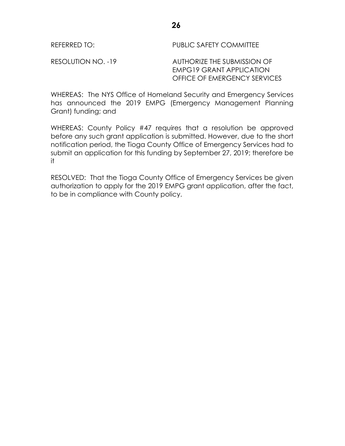REFERRED TO: PUBLIC SAFETY COMMITTEE

RESOLUTION NO. -19 AUTHORIZE THE SUBMISSION OF EMPG19 GRANT APPLICATION OFFICE OF EMERGENCY SERVICES

WHEREAS: The NYS Office of Homeland Security and Emergency Services has announced the 2019 EMPG (Emergency Management Planning Grant) funding; and

WHEREAS: County Policy #47 requires that a resolution be approved before any such grant application is submitted. However, due to the short notification period, the Tioga County Office of Emergency Services had to submit an application for this funding by September 27, 2019; therefore be it

RESOLVED: That the Tioga County Office of Emergency Services be given authorization to apply for the 2019 EMPG grant application, after the fact, to be in compliance with County policy.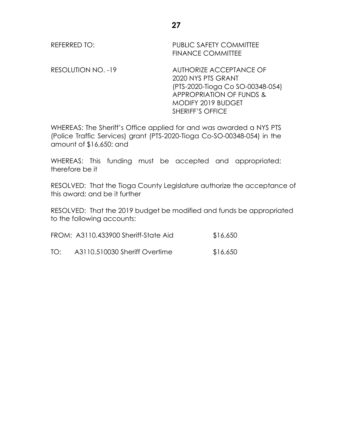REFERRED TO: PUBLIC SAFETY COMMITTEE FINANCE COMMITTEE

RESOLUTION NO. -19 AUTHORIZE ACCEPTANCE OF 2020 NYS PTS GRANT (PTS-2020-Tioga Co SO-00348-054) APPROPRIATION OF FUNDS & MODIFY 2019 BUDGET SHERIFF'S OFFICE

WHEREAS: The Sheriff's Office applied for and was awarded a NYS PTS (Police Traffic Services) grant (PTS-2020-Tioga Co-SO-00348-054) in the amount of \$16,650; and

WHEREAS: This funding must be accepted and appropriated; therefore be it

RESOLVED: That the Tioga County Legislature authorize the acceptance of this award; and be it further

RESOLVED: That the 2019 budget be modified and funds be appropriated to the following accounts:

|     | FROM: A3110.433900 Sheriff-State Aid | \$16,650 |
|-----|--------------------------------------|----------|
| TO: | A3110.510030 Sheriff Overtime        | \$16,650 |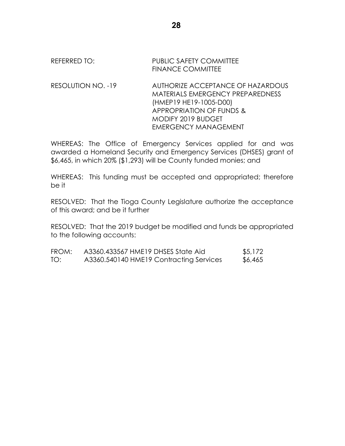### REFERRED TO: PUBLIC SAFETY COMMITTEE FINANCE COMMITTEE

RESOLUTION NO. -19 AUTHORIZE ACCEPTANCE OF HAZARDOUS MATERIALS EMERGENCY PREPAREDNESS (HMEP19 HE19-1005-D00) APPROPRIATION OF FUNDS & MODIFY 2019 BUDGET EMERGENCY MANAGEMENT

WHEREAS: The Office of Emergency Services applied for and was awarded a Homeland Security and Emergency Services (DHSES) grant of \$6,465, in which 20% (\$1,293) will be County funded monies; and

WHEREAS: This funding must be accepted and appropriated; therefore be it

RESOLVED: That the Tioga County Legislature authorize the acceptance of this award; and be it further

RESOLVED: That the 2019 budget be modified and funds be appropriated to the following accounts:

| FROM: | A3360.433567 HME19 DHSES State Aid      | \$5,172 |
|-------|-----------------------------------------|---------|
| TO:   | A3360.540140 HME19 Contracting Services | \$6,465 |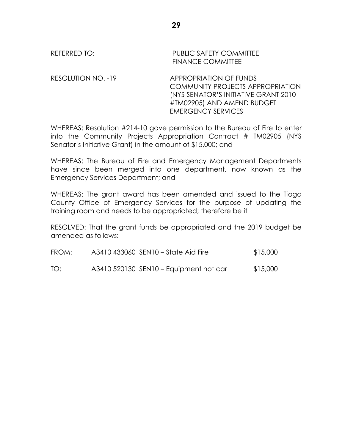# REFERRED TO: The PUBLIC SAFETY COMMITTEE FINANCE COMMITTEE RESOLUTION NO. -19 APPROPRIATION OF FUNDS

COMMUNITY PROJECTS APPROPRIATION (NYS SENATOR'S INITIATIVE GRANT 2010 #TM02905) AND AMEND BUDGET EMERGENCY SERVICES

WHEREAS: Resolution #214-10 gave permission to the Bureau of Fire to enter into the Community Projects Appropriation Contract # TM02905 (NYS Senator's Initiative Grant) in the amount of \$15,000; and

WHEREAS: The Bureau of Fire and Emergency Management Departments have since been merged into one department, now known as the Emergency Services Department; and

WHEREAS: The grant award has been amended and issued to the Tioga County Office of Emergency Services for the purpose of updating the training room and needs to be appropriated; therefore be it

RESOLVED: That the grant funds be appropriated and the 2019 budget be amended as follows:

| FROM: | A3410 433060 SEN10 – State Aid Fire    | \$15,000 |
|-------|----------------------------------------|----------|
| TO:   | A3410 520130 SEN10 – Equipment not car | \$15,000 |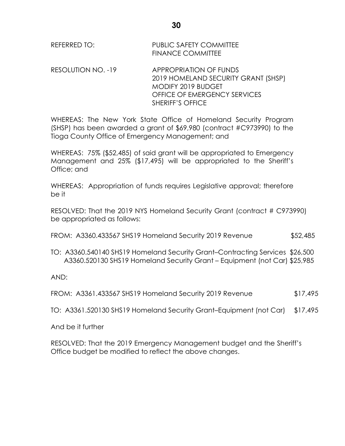| REFERRED TO: | <b>PUBLIC SAFETY COMMITTEE</b> |
|--------------|--------------------------------|
|              | <b>FINANCE COMMITTEE</b>       |

RESOLUTION NO. -19 APPROPRIATION OF FUNDS 2019 HOMELAND SECURITY GRANT (SHSP) MODIFY 2019 BUDGET OFFICE OF EMERGENCY SERVICES SHERIFF'S OFFICE

WHEREAS: The New York State Office of Homeland Security Program (SHSP) has been awarded a grant of \$69,980 (contract #C973990) to the Tioga County Office of Emergency Management; and

WHEREAS: 75% (\$52,485) of said grant will be appropriated to Emergency Management and 25% (\$17,495) will be appropriated to the Sheriff's Office; and

WHEREAS: Appropriation of funds requires Legislative approval; therefore be it

RESOLVED: That the 2019 NYS Homeland Security Grant (contract # C973990) be appropriated as follows:

FROM: A3360.433567 SHS19 Homeland Security 2019 Revenue \$52,485

TO: A3360.540140 SHS19 Homeland Security Grant–Contracting Services \$26,500 A3360.520130 SHS19 Homeland Security Grant – Equipment (not Car) \$25,985

AND:

FROM: A3361.433567 SHS19 Homeland Security 2019 Revenue \$17,495

TO: A3361.520130 SHS19 Homeland Security Grant–Equipment (not Car) \$17,495

And be it further

RESOLVED: That the 2019 Emergency Management budget and the Sheriff's Office budget be modified to reflect the above changes.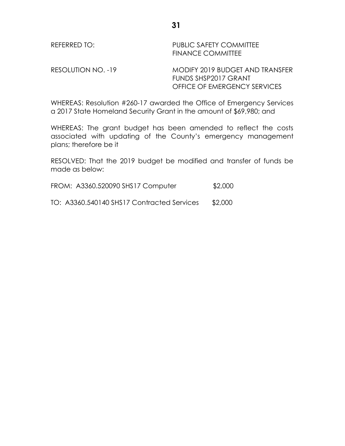| REFERRED TO:       | PUBLIC SAFETY COMMITTEE<br><b>FINANCE COMMITTEE</b>     |
|--------------------|---------------------------------------------------------|
| RESOLUTION NO. -19 | MODIFY 2019 BUDGET AND TRANSFER<br>FUNDS SHSP2017 GRANT |

WHEREAS: Resolution #260-17 awarded the Office of Emergency Services a 2017 State Homeland Security Grant in the amount of \$69,980; and

OFFICE OF EMERGENCY SERVICES

WHEREAS: The grant budget has been amended to reflect the costs associated with updating of the County's emergency management plans; therefore be it

RESOLVED: That the 2019 budget be modified and transfer of funds be made as below:

| FROM: A3360.520090 SHS17 Computer |  | \$2,000 |
|-----------------------------------|--|---------|
|-----------------------------------|--|---------|

TO: A3360.540140 SHS17 Contracted Services \$2,000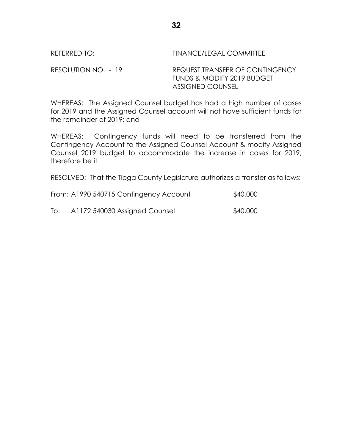REFERRED TO: FINANCE/LEGAL COMMITTEE

RESOLUTION NO. - 19 REQUEST TRANSFER OF CONTINGENCY FUNDS & MODIFY 2019 BUDGET ASSIGNED COUNSEL

WHEREAS: The Assigned Counsel budget has had a high number of cases for 2019 and the Assigned Counsel account will not have sufficient funds for the remainder of 2019; and

WHEREAS: Contingency funds will need to be transferred from the Contingency Account to the Assigned Counsel Account & modify Assigned Counsel 2019 budget to accommodate the increase in cases for 2019; therefore be it

RESOLVED: That the Tioga County Legislature authorizes a transfer as follows:

|     | From: A1990 540715 Contingency Account | \$40,000 |
|-----|----------------------------------------|----------|
| To: | A1172 540030 Assigned Counsel          | \$40,000 |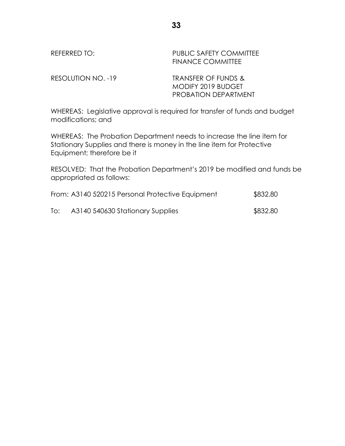| REFERRED TO:       | <b>PUBLIC SAFETY COMMITTEE</b><br><b>FINANCE COMMITTEE</b>               |
|--------------------|--------------------------------------------------------------------------|
| RESOLUTION NO. -19 | TRANSFER OF FUNDS &<br>MODIFY 2019 BUDGET<br><b>PROBATION DEPARTMENT</b> |

WHEREAS: Legislative approval is required for transfer of funds and budget modifications; and

WHEREAS: The Probation Department needs to increase the line item for Stationary Supplies and there is money in the line item for Protective Equipment; therefore be it

RESOLVED: That the Probation Department's 2019 be modified and funds be appropriated as follows:

|     | From: A3140 520215 Personal Protective Equipment | \$832.80 |
|-----|--------------------------------------------------|----------|
| To: | A3140 540630 Stationary Supplies                 | \$832.80 |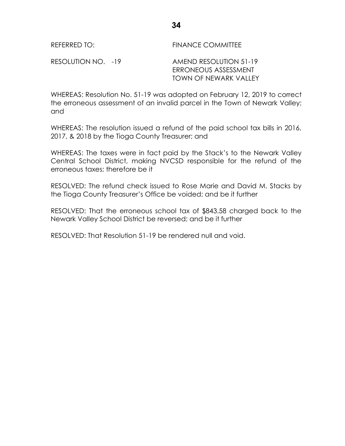REFERRED TO: FINANCE COMMITTEE

RESOLUTION NO. -19 AMEND RESOLUTION 51-19 ERRONEOUS ASSESSMENT TOWN OF NEWARK VALLEY

WHEREAS: Resolution No. 51-19 was adopted on February 12, 2019 to correct the erroneous assessment of an invalid parcel in the Town of Newark Valley; and

WHEREAS: The resolution issued a refund of the paid school tax bills in 2016, 2017, & 2018 by the Tioga County Treasurer; and

WHEREAS: The taxes were in fact paid by the Stack's to the Newark Valley Central School District, making NVCSD responsible for the refund of the erroneous taxes; therefore be it

RESOLVED: The refund check issued to Rose Marie and David M. Stacks by the Tioga County Treasurer's Office be voided; and be it further

RESOLVED: That the erroneous school tax of \$843.58 charged back to the Newark Valley School District be reversed; and be it further

RESOLVED: That Resolution 51-19 be rendered null and void.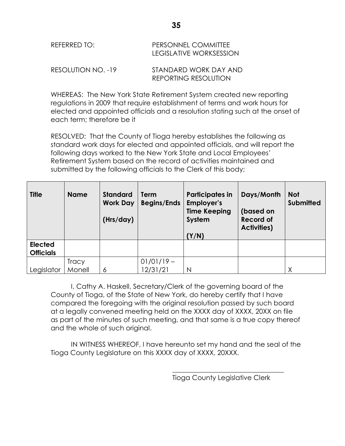| REFERRED TO:       | PERSONNEL COMMITTEE<br>LEGISLATIVE WORKSESSION |
|--------------------|------------------------------------------------|
| RESOLUTION NO. -19 | STANDARD WORK DAY AND<br>REPORTING RESOLUTION  |

WHEREAS: The New York State Retirement System created new reporting regulations in 2009 that require establishment of terms and work hours for elected and appointed officials and a resolution stating such at the onset of each term; therefore be it

RESOLVED: That the County of Tioga hereby establishes the following as standard work days for elected and appointed officials, and will report the following days worked to the New York State and Local Employees' Retirement System based on the record of activities maintained and submitted by the following officials to the Clerk of this body;

| <b>Title</b>                       | <b>Name</b>  | <b>Standard</b><br><b>Work Day</b><br>(Hrs/day) | <b>Term</b><br><b>Begins/Ends</b> | <b>Participates in</b><br><b>Employer's</b><br><b>Time Keeping</b><br>System<br>(Y/N) | Days/Month<br>(based on<br><b>Record of</b><br><b>Activities)</b> | <b>Not</b><br><b>Submitted</b> |
|------------------------------------|--------------|-------------------------------------------------|-----------------------------------|---------------------------------------------------------------------------------------|-------------------------------------------------------------------|--------------------------------|
| <b>Elected</b><br><b>Officials</b> |              |                                                 |                                   |                                                                                       |                                                                   |                                |
|                                    | <b>Tracy</b> |                                                 | $01/01/19 -$                      |                                                                                       |                                                                   |                                |
| Legislator                         | Monell       | 6                                               | 12/31/21                          | N                                                                                     |                                                                   | Χ                              |

I, Cathy A. Haskell, Secretary/Clerk of the governing board of the County of Tioga, of the State of New York, do hereby certify that I have compared the foregoing with the original resolution passed by such board at a legally convened meeting held on the XXXX day of XXXX, 20XX on file as part of the minutes of such meeting, and that same is a true copy thereof and the whole of such original.

IN WITNESS WHEREOF, I have hereunto set my hand and the seal of the Tioga County Legislature on this XXXX day of XXXX, 20XXX.

Tioga County Legislative Clerk

\_\_\_\_\_\_\_\_\_\_\_\_\_\_\_\_\_\_\_\_\_\_\_\_\_\_\_\_\_\_\_\_\_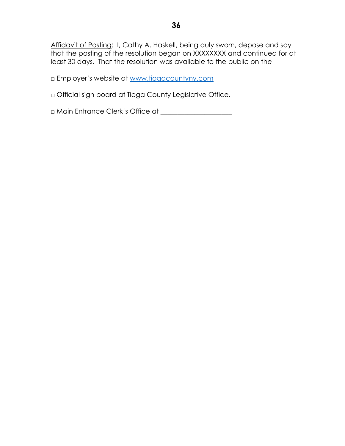Affidavit of Posting: I, Cathy A. Haskell, being duly sworn, depose and say that the posting of the resolution began on XXXXXXXX and continued for at least 30 days. That the resolution was available to the public on the

□ Employer's website at [www.tiogacountyny.com](http://www.tiogacountyny.com/)

□ Official sign board at Tioga County Legislative Office.

□ Main Entrance Clerk's Office at \_\_\_\_\_\_\_\_\_\_\_\_\_\_\_\_\_\_\_\_\_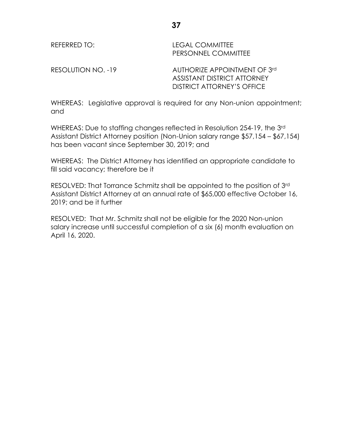REFERRED TO: LEGAL COMMITTEE PERSONNEL COMMITTEE

RESOLUTION NO. -19 AUTHORIZE APPOINTMENT OF 3rd ASSISTANT DISTRICT ATTORNEY DISTRICT ATTORNEY'S OFFICE

WHEREAS: Legislative approval is required for any Non-union appointment; and

WHEREAS: Due to staffing changes reflected in Resolution 254-19, the 3rd Assistant District Attorney position (Non-Union salary range \$57,154 – \$67,154) has been vacant since September 30, 2019; and

WHEREAS: The District Attorney has identified an appropriate candidate to fill said vacancy; therefore be it

RESOLVED: That Torrance Schmitz shall be appointed to the position of 3rd Assistant District Attorney at an annual rate of \$65,000 effective October 16, 2019; and be it further

RESOLVED: That Mr. Schmitz shall not be eligible for the 2020 Non-union salary increase until successful completion of a six (6) month evaluation on April 16, 2020.